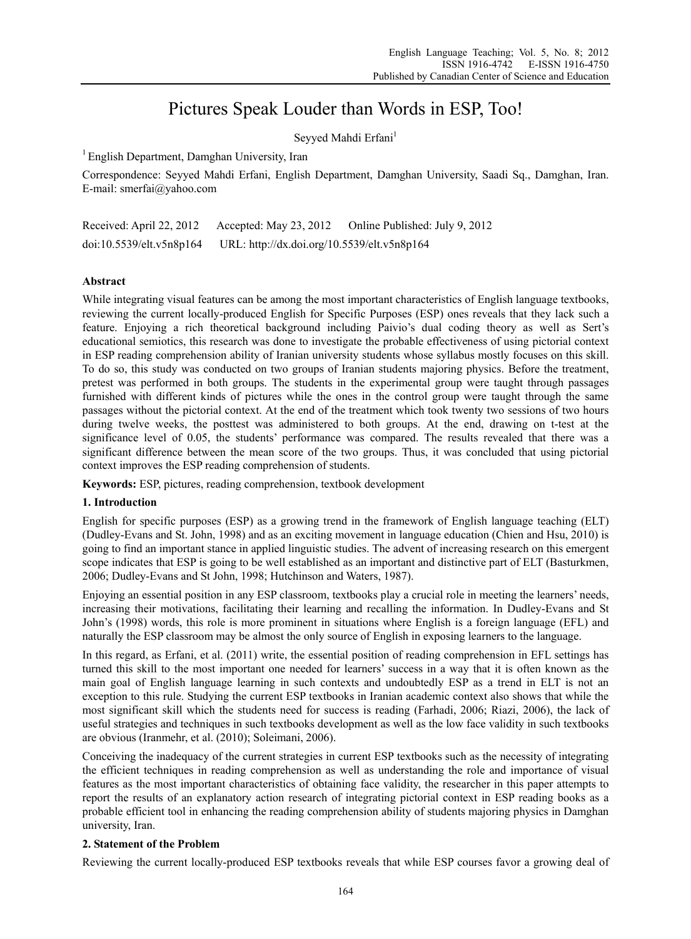# Pictures Speak Louder than Words in ESP, Too!

Seyyed Mahdi Erfani<sup>1</sup>

1 English Department, Damghan University, Iran

Correspondence: Seyyed Mahdi Erfani, English Department, Damghan University, Saadi Sq., Damghan, Iran. E-mail: smerfai@yahoo.com

Received: April 22, 2012 Accepted: May 23, 2012 Online Published: July 9, 2012 doi:10.5539/elt.v5n8p164 URL: http://dx.doi.org/10.5539/elt.v5n8p164

## **Abstract**

While integrating visual features can be among the most important characteristics of English language textbooks, reviewing the current locally-produced English for Specific Purposes (ESP) ones reveals that they lack such a feature. Enjoying a rich theoretical background including Paivio's dual coding theory as well as Sert's educational semiotics, this research was done to investigate the probable effectiveness of using pictorial context in ESP reading comprehension ability of Iranian university students whose syllabus mostly focuses on this skill. To do so, this study was conducted on two groups of Iranian students majoring physics. Before the treatment, pretest was performed in both groups. The students in the experimental group were taught through passages furnished with different kinds of pictures while the ones in the control group were taught through the same passages without the pictorial context. At the end of the treatment which took twenty two sessions of two hours during twelve weeks, the posttest was administered to both groups. At the end, drawing on t-test at the significance level of 0.05, the students' performance was compared. The results revealed that there was a significant difference between the mean score of the two groups. Thus, it was concluded that using pictorial context improves the ESP reading comprehension of students.

**Keywords:** ESP, pictures, reading comprehension, textbook development

#### **1. Introduction**

English for specific purposes (ESP) as a growing trend in the framework of English language teaching (ELT) (Dudley-Evans and St. John, 1998) and as an exciting movement in language education (Chien and Hsu, 2010) is going to find an important stance in applied linguistic studies. The advent of increasing research on this emergent scope indicates that ESP is going to be well established as an important and distinctive part of ELT (Basturkmen, 2006; Dudley-Evans and St John, 1998; Hutchinson and Waters, 1987).

Enjoying an essential position in any ESP classroom, textbooks play a crucial role in meeting the learners' needs, increasing their motivations, facilitating their learning and recalling the information. In Dudley-Evans and St John's (1998) words, this role is more prominent in situations where English is a foreign language (EFL) and naturally the ESP classroom may be almost the only source of English in exposing learners to the language.

In this regard, as Erfani, et al. (2011) write, the essential position of reading comprehension in EFL settings has turned this skill to the most important one needed for learners' success in a way that it is often known as the main goal of English language learning in such contexts and undoubtedly ESP as a trend in ELT is not an exception to this rule. Studying the current ESP textbooks in Iranian academic context also shows that while the most significant skill which the students need for success is reading (Farhadi, 2006; Riazi, 2006), the lack of useful strategies and techniques in such textbooks development as well as the low face validity in such textbooks are obvious (Iranmehr, et al. (2010); Soleimani, 2006).

Conceiving the inadequacy of the current strategies in current ESP textbooks such as the necessity of integrating the efficient techniques in reading comprehension as well as understanding the role and importance of visual features as the most important characteristics of obtaining face validity, the researcher in this paper attempts to report the results of an explanatory action research of integrating pictorial context in ESP reading books as a probable efficient tool in enhancing the reading comprehension ability of students majoring physics in Damghan university, Iran.

#### **2. Statement of the Problem**

Reviewing the current locally-produced ESP textbooks reveals that while ESP courses favor a growing deal of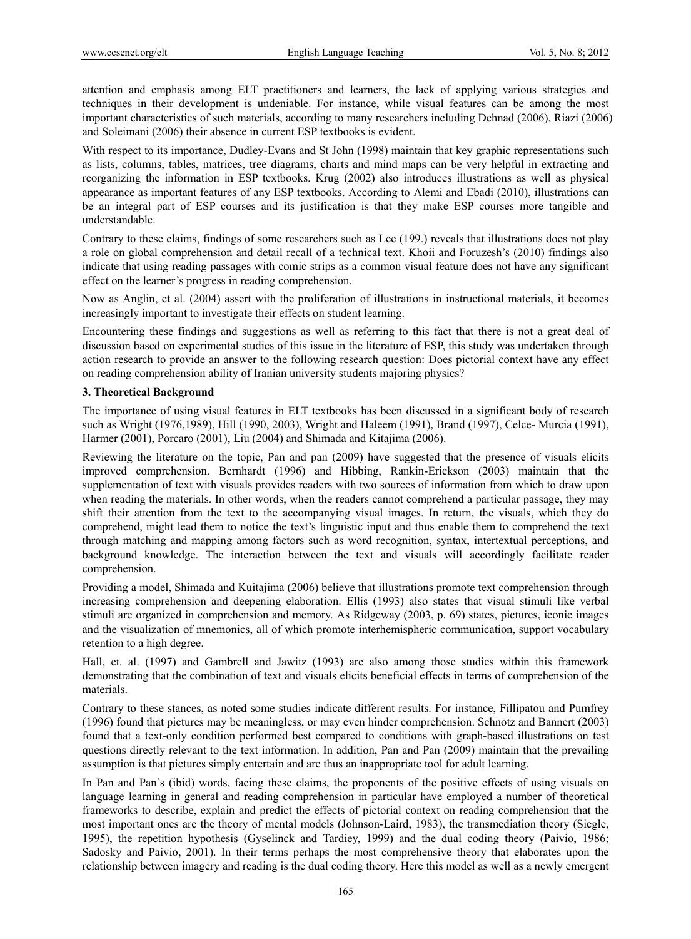attention and emphasis among ELT practitioners and learners, the lack of applying various strategies and techniques in their development is undeniable. For instance, while visual features can be among the most important characteristics of such materials, according to many researchers including Dehnad (2006), Riazi (2006) and Soleimani (2006) their absence in current ESP textbooks is evident.

With respect to its importance, Dudley-Evans and St John (1998) maintain that key graphic representations such as lists, columns, tables, matrices, tree diagrams, charts and mind maps can be very helpful in extracting and reorganizing the information in ESP textbooks. Krug (2002) also introduces illustrations as well as physical appearance as important features of any ESP textbooks. According to Alemi and Ebadi (2010), illustrations can be an integral part of ESP courses and its justification is that they make ESP courses more tangible and understandable.

Contrary to these claims, findings of some researchers such as Lee (199.) reveals that illustrations does not play a role on global comprehension and detail recall of a technical text. Khoii and Foruzesh's (2010) findings also indicate that using reading passages with comic strips as a common visual feature does not have any significant effect on the learner's progress in reading comprehension.

Now as Anglin, et al. (2004) assert with the proliferation of illustrations in instructional materials, it becomes increasingly important to investigate their effects on student learning.

Encountering these findings and suggestions as well as referring to this fact that there is not a great deal of discussion based on experimental studies of this issue in the literature of ESP, this study was undertaken through action research to provide an answer to the following research question: Does pictorial context have any effect on reading comprehension ability of Iranian university students majoring physics?

#### **3. Theoretical Background**

The importance of using visual features in ELT textbooks has been discussed in a significant body of research such as Wright (1976,1989), Hill (1990, 2003), Wright and Haleem (1991), Brand (1997), Celce- Murcia (1991), Harmer (2001), Porcaro (2001), Liu (2004) and Shimada and Kitajima (2006).

Reviewing the literature on the topic, Pan and pan (2009) have suggested that the presence of visuals elicits improved comprehension. Bernhardt (1996) and Hibbing, Rankin-Erickson (2003) maintain that the supplementation of text with visuals provides readers with two sources of information from which to draw upon when reading the materials. In other words, when the readers cannot comprehend a particular passage, they may shift their attention from the text to the accompanying visual images. In return, the visuals, which they do comprehend, might lead them to notice the text's linguistic input and thus enable them to comprehend the text through matching and mapping among factors such as word recognition, syntax, intertextual perceptions, and background knowledge. The interaction between the text and visuals will accordingly facilitate reader comprehension.

Providing a model, Shimada and Kuitajima (2006) believe that illustrations promote text comprehension through increasing comprehension and deepening elaboration. Ellis (1993) also states that visual stimuli like verbal stimuli are organized in comprehension and memory. As Ridgeway (2003, p. 69) states, pictures, iconic images and the visualization of mnemonics, all of which promote interhemispheric communication, support vocabulary retention to a high degree.

Hall, et. al. (1997) and Gambrell and Jawitz (1993) are also among those studies within this framework demonstrating that the combination of text and visuals elicits beneficial effects in terms of comprehension of the materials.

Contrary to these stances, as noted some studies indicate different results. For instance, Fillipatou and Pumfrey (1996) found that pictures may be meaningless, or may even hinder comprehension. Schnotz and Bannert (2003) found that a text-only condition performed best compared to conditions with graph-based illustrations on test questions directly relevant to the text information. In addition, Pan and Pan (2009) maintain that the prevailing assumption is that pictures simply entertain and are thus an inappropriate tool for adult learning.

In Pan and Pan's (ibid) words, facing these claims, the proponents of the positive effects of using visuals on language learning in general and reading comprehension in particular have employed a number of theoretical frameworks to describe, explain and predict the effects of pictorial context on reading comprehension that the most important ones are the theory of mental models (Johnson-Laird, 1983), the transmediation theory (Siegle, 1995), the repetition hypothesis (Gyselinck and Tardiey, 1999) and the dual coding theory (Paivio, 1986; Sadosky and Paivio, 2001). In their terms perhaps the most comprehensive theory that elaborates upon the relationship between imagery and reading is the dual coding theory. Here this model as well as a newly emergent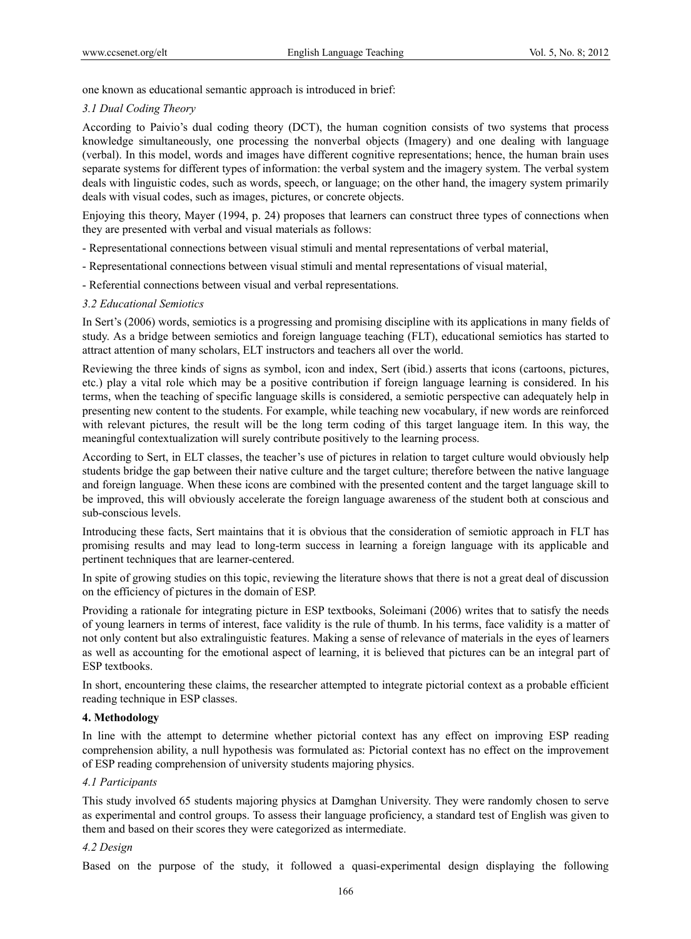one known as educational semantic approach is introduced in brief:

#### *3.1 Dual Coding Theory*

According to Paivio's dual coding theory (DCT), the human cognition consists of two systems that process knowledge simultaneously, one processing the nonverbal objects (Imagery) and one dealing with language (verbal). In this model, words and images have different cognitive representations; hence, the human brain uses separate systems for different types of information: the verbal system and the imagery system. The verbal system deals with linguistic codes, such as words, speech, or language; on the other hand, the imagery system primarily deals with visual codes, such as images, pictures, or concrete objects.

Enjoying this theory, Mayer (1994, p. 24) proposes that learners can construct three types of connections when they are presented with verbal and visual materials as follows:

- Representational connections between visual stimuli and mental representations of verbal material,
- Representational connections between visual stimuli and mental representations of visual material,
- Referential connections between visual and verbal representations.

#### *3.2 Educational Semiotics*

In Sert's (2006) words, semiotics is a progressing and promising discipline with its applications in many fields of study. As a bridge between semiotics and foreign language teaching (FLT), educational semiotics has started to attract attention of many scholars, ELT instructors and teachers all over the world.

Reviewing the three kinds of signs as symbol, icon and index, Sert (ibid.) asserts that icons (cartoons, pictures, etc.) play a vital role which may be a positive contribution if foreign language learning is considered. In his terms, when the teaching of specific language skills is considered, a semiotic perspective can adequately help in presenting new content to the students. For example, while teaching new vocabulary, if new words are reinforced with relevant pictures, the result will be the long term coding of this target language item. In this way, the meaningful contextualization will surely contribute positively to the learning process.

According to Sert, in ELT classes, the teacher's use of pictures in relation to target culture would obviously help students bridge the gap between their native culture and the target culture; therefore between the native language and foreign language. When these icons are combined with the presented content and the target language skill to be improved, this will obviously accelerate the foreign language awareness of the student both at conscious and sub-conscious levels.

Introducing these facts, Sert maintains that it is obvious that the consideration of semiotic approach in FLT has promising results and may lead to long-term success in learning a foreign language with its applicable and pertinent techniques that are learner-centered.

In spite of growing studies on this topic, reviewing the literature shows that there is not a great deal of discussion on the efficiency of pictures in the domain of ESP.

Providing a rationale for integrating picture in ESP textbooks, Soleimani (2006) writes that to satisfy the needs of young learners in terms of interest, face validity is the rule of thumb. In his terms, face validity is a matter of not only content but also extralinguistic features. Making a sense of relevance of materials in the eyes of learners as well as accounting for the emotional aspect of learning, it is believed that pictures can be an integral part of ESP textbooks.

In short, encountering these claims, the researcher attempted to integrate pictorial context as a probable efficient reading technique in ESP classes.

#### **4. Methodology**

In line with the attempt to determine whether pictorial context has any effect on improving ESP reading comprehension ability, a null hypothesis was formulated as: Pictorial context has no effect on the improvement of ESP reading comprehension of university students majoring physics.

### *4.1 Participants*

This study involved 65 students majoring physics at Damghan University. They were randomly chosen to serve as experimental and control groups. To assess their language proficiency, a standard test of English was given to them and based on their scores they were categorized as intermediate.

#### *4.2 Design*

Based on the purpose of the study, it followed a quasi-experimental design displaying the following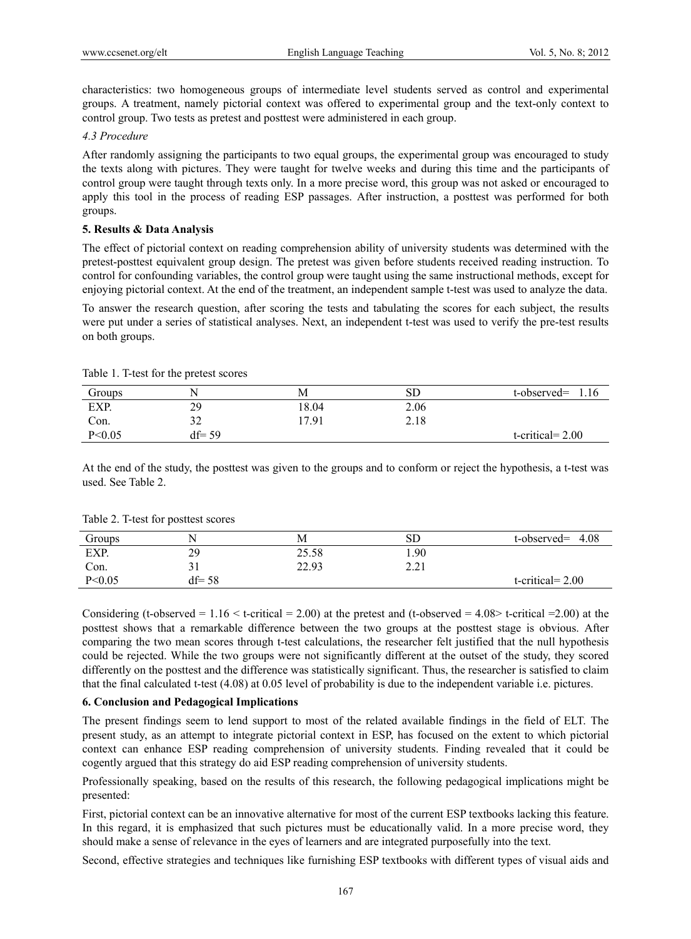characteristics: two homogeneous groups of intermediate level students served as control and experimental groups. A treatment, namely pictorial context was offered to experimental group and the text-only context to control group. Two tests as pretest and posttest were administered in each group.

## *4.3 Procedure*

After randomly assigning the participants to two equal groups, the experimental group was encouraged to study the texts along with pictures. They were taught for twelve weeks and during this time and the participants of control group were taught through texts only. In a more precise word, this group was not asked or encouraged to apply this tool in the process of reading ESP passages. After instruction, a posttest was performed for both groups.

## **5. Results & Data Analysis**

The effect of pictorial context on reading comprehension ability of university students was determined with the pretest-posttest equivalent group design. The pretest was given before students received reading instruction. To control for confounding variables, the control group were taught using the same instructional methods, except for enjoying pictorial context. At the end of the treatment, an independent sample t-test was used to analyze the data.

To answer the research question, after scoring the tests and tabulating the scores for each subject, the results were put under a series of statistical analyses. Next, an independent t-test was used to verify the pre-test results on both groups.

| Groups   | N         | M     | <b>SD</b> | $t$ -observed= $1.16$ |
|----------|-----------|-------|-----------|-----------------------|
| EXP.     | 29        | 18.04 | 2.06      |                       |
| Con.     | 20<br>ےد  | 17.91 | 2.18      |                       |
| P < 0.05 | $df = 59$ |       |           | t-critical= $2.00$    |

Table 1. T-test for the pretest scores

At the end of the study, the posttest was given to the groups and to conform or reject the hypothesis, a t-test was used. See Table 2.

| Groups   |        | M     | SD           | t-observed= $4.08$ |
|----------|--------|-------|--------------|--------------------|
| EXP.     | 29     | 25.58 | 1.90         |                    |
| Con.     |        | 22.93 | 2.21<br>4.41 |                    |
| P < 0.05 | df= 58 |       |              | t-critical= $2.00$ |

Table 2. T-test for posttest scores

Considering (t-observed =  $1.16 <$  t-critical =  $2.00$ ) at the pretest and (t-observed =  $4.08$  t-critical =  $2.00$ ) at the posttest shows that a remarkable difference between the two groups at the posttest stage is obvious. After comparing the two mean scores through t-test calculations, the researcher felt justified that the null hypothesis could be rejected. While the two groups were not significantly different at the outset of the study, they scored differently on the posttest and the difference was statistically significant. Thus, the researcher is satisfied to claim that the final calculated t-test (4.08) at 0.05 level of probability is due to the independent variable i.e. pictures.

## **6. Conclusion and Pedagogical Implications**

The present findings seem to lend support to most of the related available findings in the field of ELT. The present study, as an attempt to integrate pictorial context in ESP, has focused on the extent to which pictorial context can enhance ESP reading comprehension of university students. Finding revealed that it could be cogently argued that this strategy do aid ESP reading comprehension of university students.

Professionally speaking, based on the results of this research, the following pedagogical implications might be presented:

First, pictorial context can be an innovative alternative for most of the current ESP textbooks lacking this feature. In this regard, it is emphasized that such pictures must be educationally valid. In a more precise word, they should make a sense of relevance in the eyes of learners and are integrated purposefully into the text.

Second, effective strategies and techniques like furnishing ESP textbooks with different types of visual aids and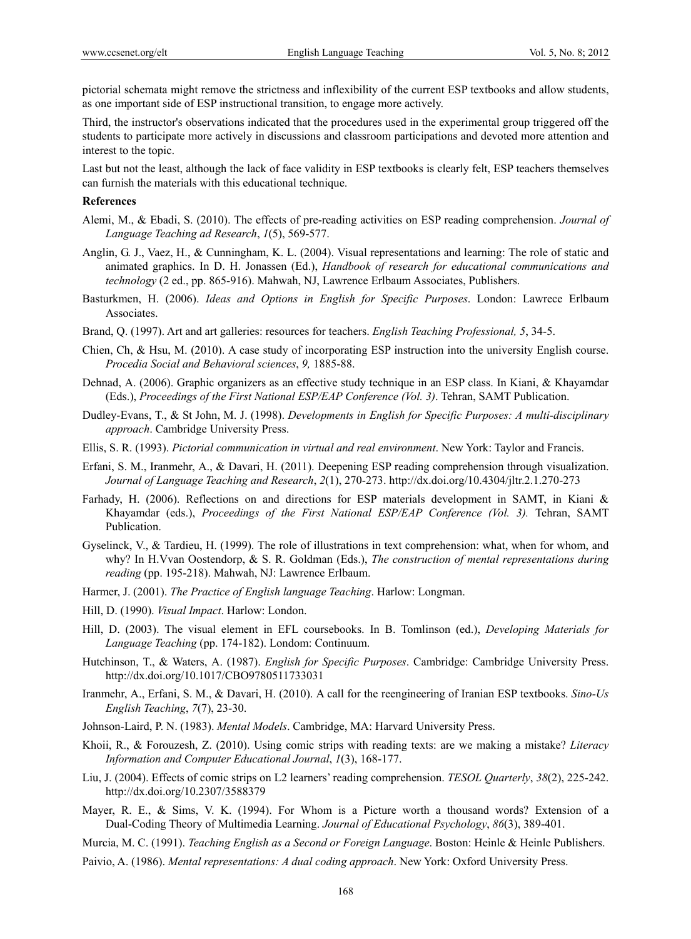pictorial schemata might remove the strictness and inflexibility of the current ESP textbooks and allow students, as one important side of ESP instructional transition, to engage more actively.

Third, the instructor's observations indicated that the procedures used in the experimental group triggered off the students to participate more actively in discussions and classroom participations and devoted more attention and interest to the topic.

Last but not the least, although the lack of face validity in ESP textbooks is clearly felt, ESP teachers themselves can furnish the materials with this educational technique.

#### **References**

- Alemi, M., & Ebadi, S. (2010). The effects of pre-reading activities on ESP reading comprehension. *Journal of Language Teaching ad Research*, *1*(5), 569-577.
- Anglin, G. J., Vaez, H., & Cunningham, K. L. (2004). Visual representations and learning: The role of static and animated graphics. In D. H. Jonassen (Ed.), *Handbook of research for educational communications and technology* (2 ed., pp. 865-916). Mahwah, NJ, Lawrence Erlbaum Associates, Publishers.
- Basturkmen, H. (2006). *Ideas and Options in English for Specific Purposes*. London: Lawrece Erlbaum Associates.
- Brand, Q. (1997). Art and art galleries: resources for teachers. *English Teaching Professional, 5*, 34-5.
- Chien, Ch, & Hsu, M. (2010). A case study of incorporating ESP instruction into the university English course. *Procedia Social and Behavioral sciences*, *9,* 1885-88.
- Dehnad, A. (2006). Graphic organizers as an effective study technique in an ESP class. In Kiani, & Khayamdar (Eds.), *Proceedings of the First National ESP/EAP Conference (Vol. 3)*. Tehran, SAMT Publication.
- Dudley-Evans, T., & St John, M. J. (1998). *Developments in English for Specific Purposes: A multi-disciplinary approach*. Cambridge University Press.
- Ellis, S. R. (1993). *Pictorial communication in virtual and real environment*. New York: Taylor and Francis.
- Erfani, S. M., Iranmehr, A., & Davari, H. (2011). Deepening ESP reading comprehension through visualization. *Journal of Language Teaching and Research*, *2*(1), 270-273. http://dx.doi.org/10.4304/jltr.2.1.270-273
- Farhady, H. (2006). Reflections on and directions for ESP materials development in SAMT, in Kiani & Khayamdar (eds.), *Proceedings of the First National ESP/EAP Conference (Vol. 3).* Tehran, SAMT Publication.
- Gyselinck, V., & Tardieu, H. (1999). The role of illustrations in text comprehension: what, when for whom, and why? In H.Vvan Oostendorp, & S. R. Goldman (Eds.), *The construction of mental representations during reading* (pp. 195-218). Mahwah, NJ: Lawrence Erlbaum.
- Harmer, J. (2001). *The Practice of English language Teaching*. Harlow: Longman.
- Hill, D. (1990). *Visual Impact*. Harlow: London.
- Hill, D. (2003). The visual element in EFL coursebooks. In B. Tomlinson (ed.), *Developing Materials for Language Teaching* (pp. 174-182). Londom: Continuum.
- Hutchinson, T., & Waters, A. (1987). *English for Specific Purposes*. Cambridge: Cambridge University Press. http://dx.doi.org/10.1017/CBO9780511733031
- Iranmehr, A., Erfani, S. M., & Davari, H. (2010). A call for the reengineering of Iranian ESP textbooks. *Sino-Us English Teaching*, *7*(7), 23-30.
- Johnson-Laird, P. N. (1983). *Mental Models*. Cambridge, MA: Harvard University Press.
- Khoii, R., & Forouzesh, Z. (2010). Using comic strips with reading texts: are we making a mistake? *Literacy Information and Computer Educational Journal*, *1*(3), 168-177.
- Liu, J. (2004). Effects of comic strips on L2 learners' reading comprehension. *TESOL Quarterly*, *38*(2), 225-242. http://dx.doi.org/10.2307/3588379
- Mayer, R. E., & Sims, V. K. (1994). For Whom is a Picture worth a thousand words? Extension of a Dual-Coding Theory of Multimedia Learning. *Journal of Educational Psychology*, *86*(3), 389-401.
- Murcia, M. C. (1991). *Teaching English as a Second or Foreign Language*. Boston: Heinle & Heinle Publishers.
- Paivio, A. (1986). *Mental representations: A dual coding approach*. New York: Oxford University Press.